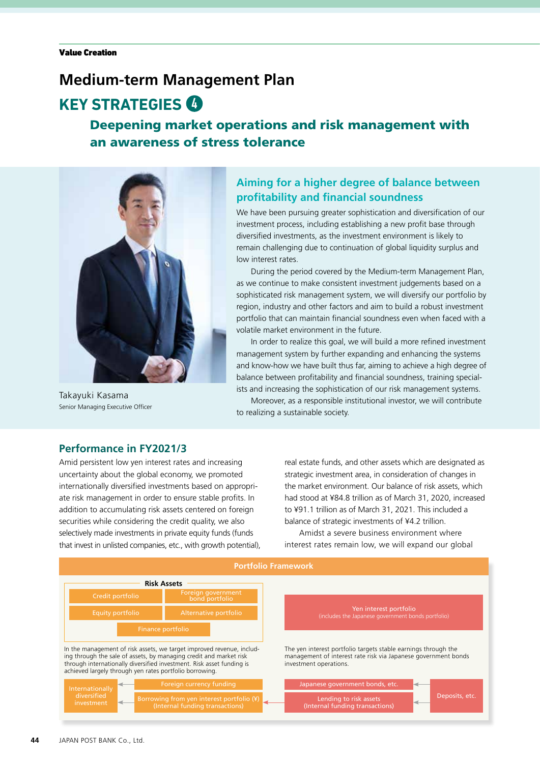## **Medium-term Management Plan**

# **KEY STRATEGIES**

### Deepening market operations and risk management with an awareness of stress tolerance



Takayuki Kasama Senior Managing Executive Officer

### **Aiming for a higher degree of balance between profitability and financial soundness**

We have been pursuing greater sophistication and diversification of our investment process, including establishing a new profit base through diversified investments, as the investment environment is likely to remain challenging due to continuation of global liquidity surplus and low interest rates.

During the period covered by the Medium-term Management Plan, as we continue to make consistent investment judgements based on a sophisticated risk management system, we will diversify our portfolio by region, industry and other factors and aim to build a robust investment portfolio that can maintain financial soundness even when faced with a volatile market environment in the future.

In order to realize this goal, we will build a more refined investment management system by further expanding and enhancing the systems and know-how we have built thus far, aiming to achieve a high degree of balance between profitability and financial soundness, training specialists and increasing the sophistication of our risk management systems.

Moreover, as a responsible institutional investor, we will contribute to realizing a sustainable society.

### **Performance in FY2021/3**

Amid persistent low yen interest rates and increasing uncertainty about the global economy, we promoted internationally diversified investments based on appropriate risk management in order to ensure stable profits. In addition to accumulating risk assets centered on foreign securities while considering the credit quality, we also selectively made investments in private equity funds (funds that invest in unlisted companies, etc., with growth potential), real estate funds, and other assets which are designated as strategic investment area, in consideration of changes in the market environment. Our balance of risk assets, which had stood at ¥84.8 trillion as of March 31, 2020, increased to ¥91.1 trillion as of March 31, 2021. This included a balance of strategic investments of ¥4.2 trillion.

Amidst a severe business environment where interest rates remain low, we will expand our global